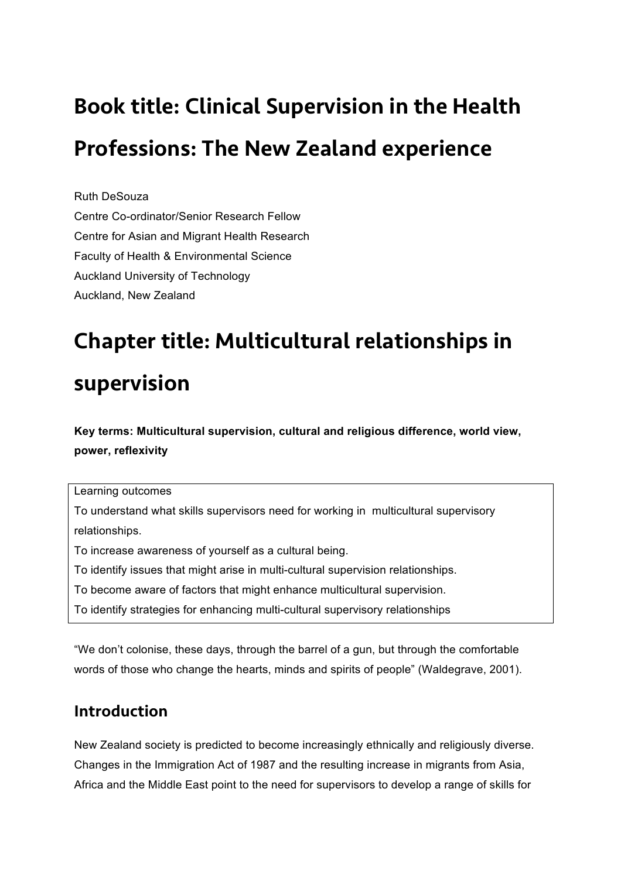# Book title: Clinical Supervision in the Health Professions: The New Zealand experience

Ruth DeSouza Centre Co-ordinator/Senior Research Fellow Centre for Asian and Migrant Health Research Faculty of Health & Environmental Science Auckland University of Technology Auckland, New Zealand

## Chapter title: Multicultural relationships in

## supervision

**Key terms: Multicultural supervision, cultural and religious difference, world view, power, reflexivity**

Learning outcomes

To understand what skills supervisors need for working in multicultural supervisory relationships.

To increase awareness of yourself as a cultural being.

To identify issues that might arise in multi-cultural supervision relationships.

To become aware of factors that might enhance multicultural supervision.

To identify strategies for enhancing multi-cultural supervisory relationships

"We don't colonise, these days, through the barrel of a gun, but through the comfortable words of those who change the hearts, minds and spirits of people" (Waldegrave, 2001).

## Introduction

New Zealand society is predicted to become increasingly ethnically and religiously diverse. Changes in the Immigration Act of 1987 and the resulting increase in migrants from Asia, Africa and the Middle East point to the need for supervisors to develop a range of skills for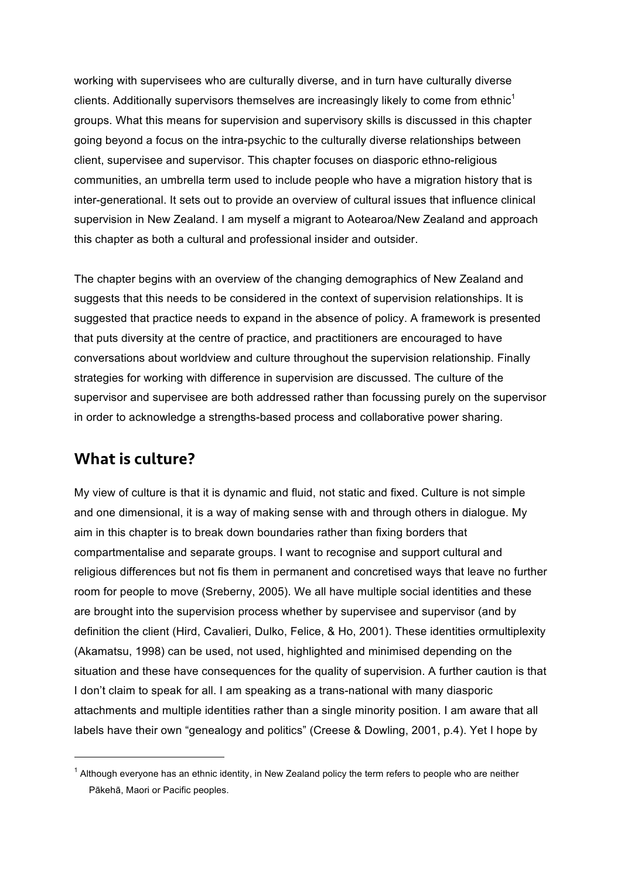working with supervisees who are culturally diverse, and in turn have culturally diverse clients. Additionally supervisors themselves are increasingly likely to come from ethnic<sup>1</sup> groups. What this means for supervision and supervisory skills is discussed in this chapter going beyond a focus on the intra-psychic to the culturally diverse relationships between client, supervisee and supervisor. This chapter focuses on diasporic ethno-religious communities, an umbrella term used to include people who have a migration history that is inter-generational. It sets out to provide an overview of cultural issues that influence clinical supervision in New Zealand. I am myself a migrant to Aotearoa/New Zealand and approach this chapter as both a cultural and professional insider and outsider.

The chapter begins with an overview of the changing demographics of New Zealand and suggests that this needs to be considered in the context of supervision relationships. It is suggested that practice needs to expand in the absence of policy. A framework is presented that puts diversity at the centre of practice, and practitioners are encouraged to have conversations about worldview and culture throughout the supervision relationship. Finally strategies for working with difference in supervision are discussed. The culture of the supervisor and supervisee are both addressed rather than focussing purely on the supervisor in order to acknowledge a strengths-based process and collaborative power sharing.

### What is culture?

My view of culture is that it is dynamic and fluid, not static and fixed. Culture is not simple and one dimensional, it is a way of making sense with and through others in dialogue. My aim in this chapter is to break down boundaries rather than fixing borders that compartmentalise and separate groups. I want to recognise and support cultural and religious differences but not fis them in permanent and concretised ways that leave no further room for people to move (Sreberny, 2005). We all have multiple social identities and these are brought into the supervision process whether by supervisee and supervisor (and by definition the client (Hird, Cavalieri, Dulko, Felice, & Ho, 2001). These identities ormultiplexity (Akamatsu, 1998) can be used, not used, highlighted and minimised depending on the situation and these have consequences for the quality of supervision. A further caution is that I don't claim to speak for all. I am speaking as a trans-national with many diasporic attachments and multiple identities rather than a single minority position. I am aware that all labels have their own "genealogy and politics" (Creese & Dowling, 2001, p.4). Yet I hope by

 $<sup>1</sup>$  Although everyone has an ethnic identity, in New Zealand policy the term refers to people who are neither</sup> Pākehā, Maori or Pacific peoples.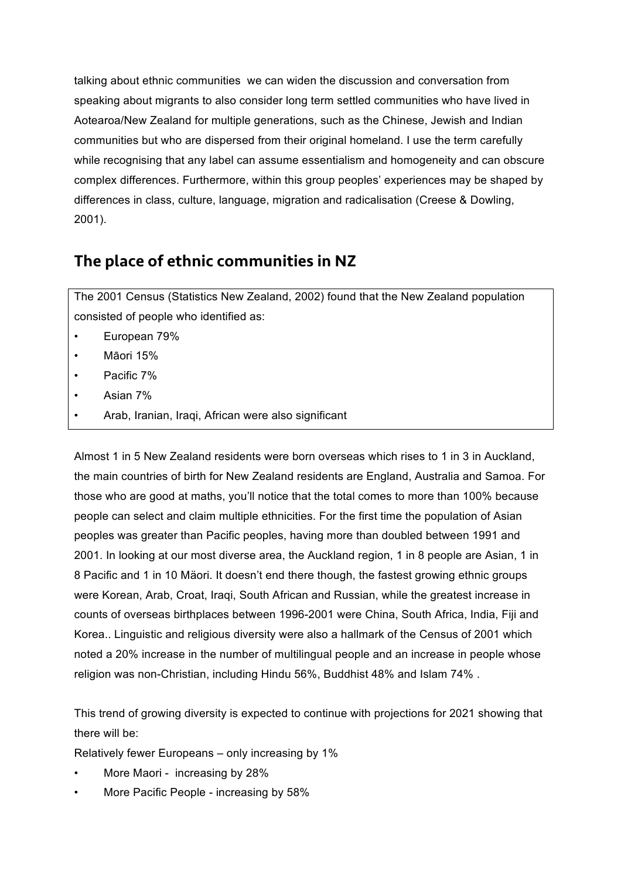talking about ethnic communities we can widen the discussion and conversation from speaking about migrants to also consider long term settled communities who have lived in Aotearoa/New Zealand for multiple generations, such as the Chinese, Jewish and Indian communities but who are dispersed from their original homeland. I use the term carefully while recognising that any label can assume essentialism and homogeneity and can obscure complex differences. Furthermore, within this group peoples' experiences may be shaped by differences in class, culture, language, migration and radicalisation (Creese & Dowling, 2001).

## The place of ethnic communities in NZ

The 2001 Census (Statistics New Zealand, 2002) found that the New Zealand population consisted of people who identified as:

- European 79%
- Māori 15%
- Pacific 7%
- Asian 7%
- Arab, Iranian, Iraqi, African were also significant

Almost 1 in 5 New Zealand residents were born overseas which rises to 1 in 3 in Auckland, the main countries of birth for New Zealand residents are England, Australia and Samoa. For those who are good at maths, you'll notice that the total comes to more than 100% because people can select and claim multiple ethnicities. For the first time the population of Asian peoples was greater than Pacific peoples, having more than doubled between 1991 and 2001. In looking at our most diverse area, the Auckland region, 1 in 8 people are Asian, 1 in 8 Pacific and 1 in 10 Mäori. It doesn't end there though, the fastest growing ethnic groups were Korean, Arab, Croat, Iraqi, South African and Russian, while the greatest increase in counts of overseas birthplaces between 1996-2001 were China, South Africa, India, Fiji and Korea.. Linguistic and religious diversity were also a hallmark of the Census of 2001 which noted a 20% increase in the number of multilingual people and an increase in people whose religion was non-Christian, including Hindu 56%, Buddhist 48% and Islam 74% .

This trend of growing diversity is expected to continue with projections for 2021 showing that there will be:

Relatively fewer Europeans – only increasing by 1%

- More Maori increasing by 28%
- More Pacific People increasing by 58%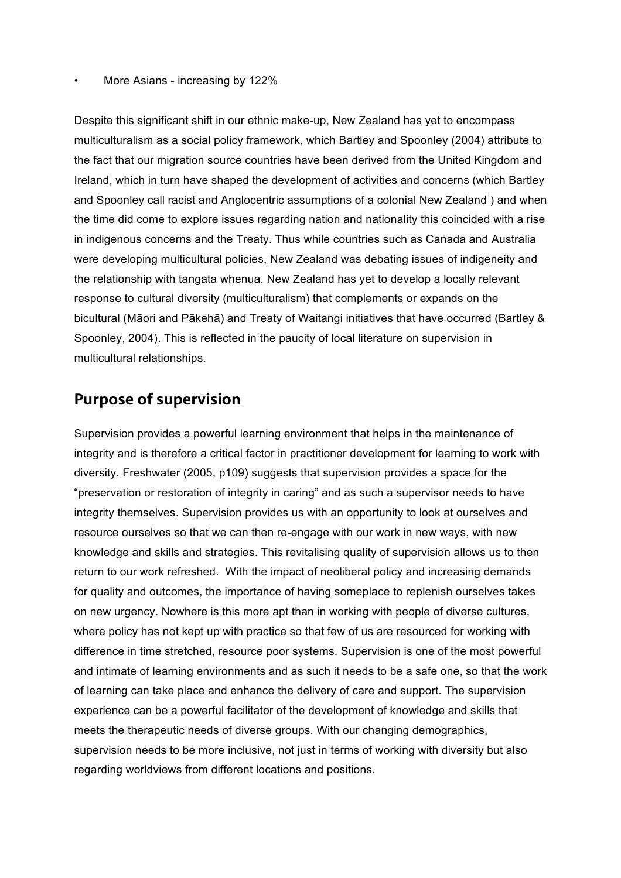#### • More Asians - increasing by 122%

Despite this significant shift in our ethnic make-up, New Zealand has yet to encompass multiculturalism as a social policy framework, which Bartley and Spoonley (2004) attribute to the fact that our migration source countries have been derived from the United Kingdom and Ireland, which in turn have shaped the development of activities and concerns (which Bartley and Spoonley call racist and Anglocentric assumptions of a colonial New Zealand ) and when the time did come to explore issues regarding nation and nationality this coincided with a rise in indigenous concerns and the Treaty. Thus while countries such as Canada and Australia were developing multicultural policies, New Zealand was debating issues of indigeneity and the relationship with tangata whenua. New Zealand has yet to develop a locally relevant response to cultural diversity (multiculturalism) that complements or expands on the bicultural (Māori and Pākehā) and Treaty of Waitangi initiatives that have occurred (Bartley & Spoonley, 2004). This is reflected in the paucity of local literature on supervision in multicultural relationships.

### Purpose of supervision

Supervision provides a powerful learning environment that helps in the maintenance of integrity and is therefore a critical factor in practitioner development for learning to work with diversity. Freshwater (2005, p109) suggests that supervision provides a space for the "preservation or restoration of integrity in caring" and as such a supervisor needs to have integrity themselves. Supervision provides us with an opportunity to look at ourselves and resource ourselves so that we can then re-engage with our work in new ways, with new knowledge and skills and strategies. This revitalising quality of supervision allows us to then return to our work refreshed. With the impact of neoliberal policy and increasing demands for quality and outcomes, the importance of having someplace to replenish ourselves takes on new urgency. Nowhere is this more apt than in working with people of diverse cultures, where policy has not kept up with practice so that few of us are resourced for working with difference in time stretched, resource poor systems. Supervision is one of the most powerful and intimate of learning environments and as such it needs to be a safe one, so that the work of learning can take place and enhance the delivery of care and support. The supervision experience can be a powerful facilitator of the development of knowledge and skills that meets the therapeutic needs of diverse groups. With our changing demographics, supervision needs to be more inclusive, not just in terms of working with diversity but also regarding worldviews from different locations and positions.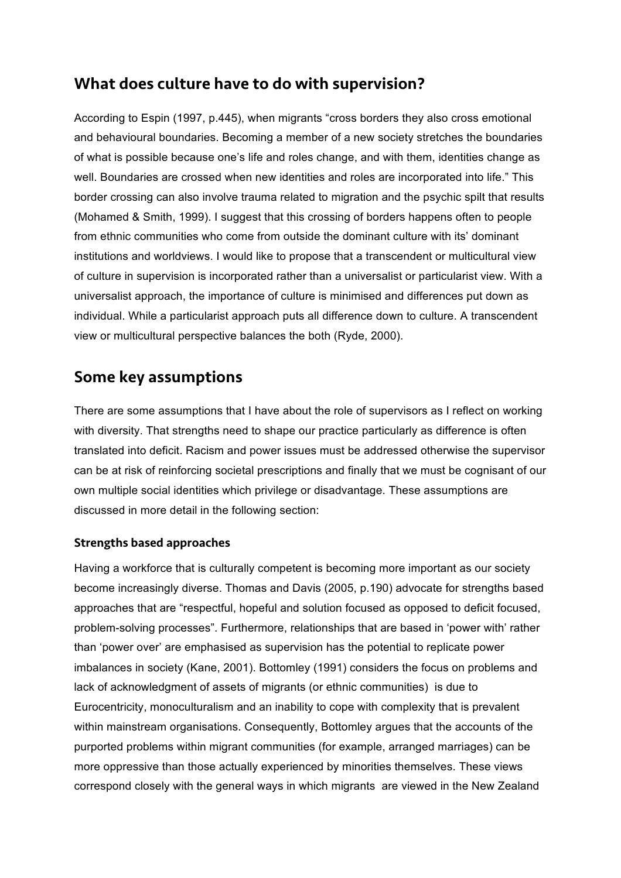## What does culture have to do with supervision?

According to Espin (1997, p.445), when migrants "cross borders they also cross emotional and behavioural boundaries. Becoming a member of a new society stretches the boundaries of what is possible because one's life and roles change, and with them, identities change as well. Boundaries are crossed when new identities and roles are incorporated into life." This border crossing can also involve trauma related to migration and the psychic spilt that results (Mohamed & Smith, 1999). I suggest that this crossing of borders happens often to people from ethnic communities who come from outside the dominant culture with its' dominant institutions and worldviews. I would like to propose that a transcendent or multicultural view of culture in supervision is incorporated rather than a universalist or particularist view. With a universalist approach, the importance of culture is minimised and differences put down as individual. While a particularist approach puts all difference down to culture. A transcendent view or multicultural perspective balances the both (Ryde, 2000).

## Some key assumptions

There are some assumptions that I have about the role of supervisors as I reflect on working with diversity. That strengths need to shape our practice particularly as difference is often translated into deficit. Racism and power issues must be addressed otherwise the supervisor can be at risk of reinforcing societal prescriptions and finally that we must be cognisant of our own multiple social identities which privilege or disadvantage. These assumptions are discussed in more detail in the following section:

#### Strengths based approaches

Having a workforce that is culturally competent is becoming more important as our society become increasingly diverse. Thomas and Davis (2005, p.190) advocate for strengths based approaches that are "respectful, hopeful and solution focused as opposed to deficit focused, problem-solving processes". Furthermore, relationships that are based in 'power with' rather than 'power over' are emphasised as supervision has the potential to replicate power imbalances in society (Kane, 2001). Bottomley (1991) considers the focus on problems and lack of acknowledgment of assets of migrants (or ethnic communities) is due to Eurocentricity, monoculturalism and an inability to cope with complexity that is prevalent within mainstream organisations. Consequently, Bottomley argues that the accounts of the purported problems within migrant communities (for example, arranged marriages) can be more oppressive than those actually experienced by minorities themselves. These views correspond closely with the general ways in which migrants are viewed in the New Zealand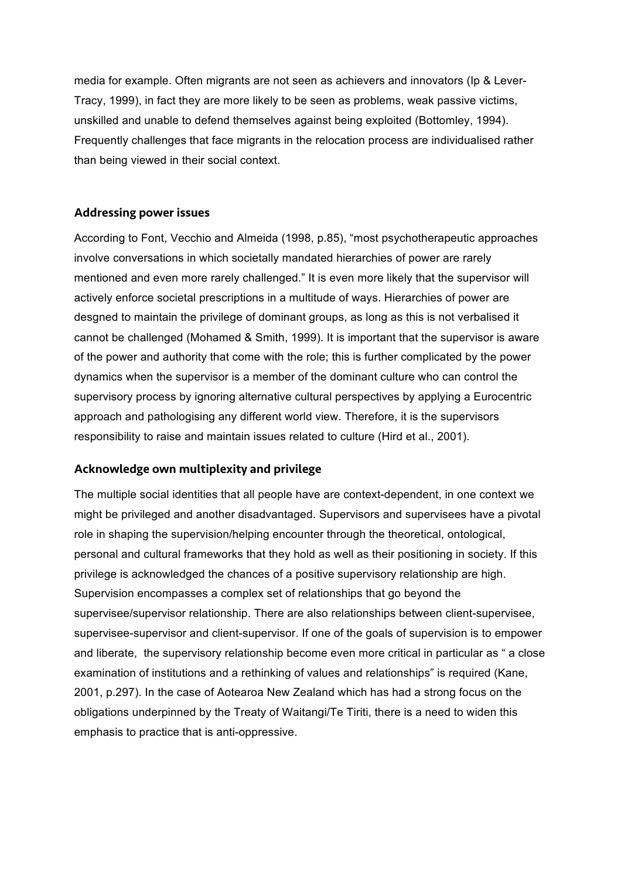media for example. Often migrants are not seen as achievers and innovators (Ip & Lever-Tracy, 1999), in fact they are more likely to be seen as problems, weak passive victims, unskilled and unable to defend themselves against being exploited (Bottomley, 1994). Frequently challenges that face migrants in the relocation process are individualised rather than being viewed in their social context.

#### Addressing power issues

According to Font, Vecchio and Almeida (1998, p.85), "most psychotherapeutic approaches involve conversations in which societally mandated hierarchies of power are rarely mentioned and even more rarely challenged." It is even more likely that the supervisor will actively enforce societal prescriptions in a multitude of ways. Hierarchies of power are desgned to maintain the privilege of dominant groups, as long as this is not verbalised it cannot be challenged (Mohamed & Smith, 1999). It is important that the supervisor is aware of the power and authority that come with the role; this is further complicated by the power dynamics when the supervisor is a member of the dominant culture who can control the supervisory process by ignoring alternative cultural perspectives by applying a Eurocentric approach and pathologising any different world view. Therefore, it is the supervisors responsibility to raise and maintain issues related to culture (Hird et al., 2001).

#### Acknowledge own multiplexity and privilege

The multiple social identities that all people have are context-dependent, in one context we might be privileged and another disadvantaged. Supervisors and supervisees have a pivotal role in shaping the supervision/helping encounter through the theoretical, ontological, personal and cultural frameworks that they hold as well as their positioning in society. If this privilege is acknowledged the chances of a positive supervisory relationship are high. Supervision encompasses a complex set of relationships that go beyond the supervisee/supervisor relationship. There are also relationships between client-supervisee, supervisee-supervisor and client-supervisor. If one of the goals of supervision is to empower and liberate, the supervisory relationship become even more critical in particular as " a close examination of institutions and a rethinking of values and relationships" is required (Kane, 2001, p.297). In the case of Aotearoa New Zealand which has had a strong focus on the obligations underpinned by the Treaty of Waitangi/Te Tiriti, there is a need to widen this emphasis to practice that is anti-oppressive.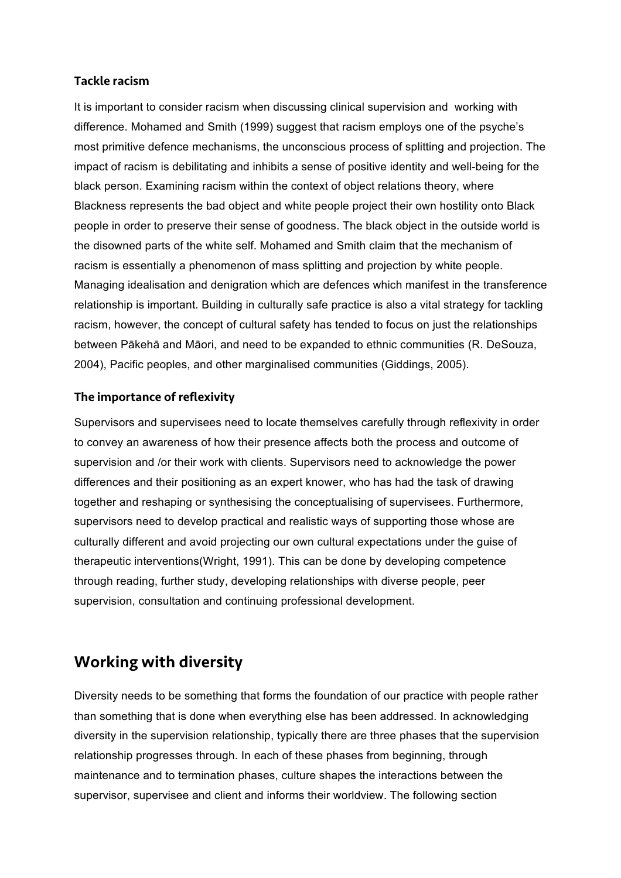#### Tackle racism

It is important to consider racism when discussing clinical supervision and working with difference. Mohamed and Smith (1999) suggest that racism employs one of the psyche's most primitive defence mechanisms, the unconscious process of splitting and projection. The impact of racism is debilitating and inhibits a sense of positive identity and well-being for the black person. Examining racism within the context of object relations theory, where Blackness represents the bad object and white people project their own hostility onto Black people in order to preserve their sense of goodness. The black object in the outside world is the disowned parts of the white self. Mohamed and Smith claim that the mechanism of racism is essentially a phenomenon of mass splitting and projection by white people. Managing idealisation and denigration which are defences which manifest in the transference relationship is important. Building in culturally safe practice is also a vital strategy for tackling racism, however, the concept of cultural safety has tended to focus on just the relationships between Pākehā and Māori, and need to be expanded to ethnic communities (R. DeSouza, 2004), Pacific peoples, and other marginalised communities (Giddings, 2005).

#### The importance of reflexivity

Supervisors and supervisees need to locate themselves carefully through reflexivity in order to convey an awareness of how their presence affects both the process and outcome of supervision and /or their work with clients. Supervisors need to acknowledge the power differences and their positioning as an expert knower, who has had the task of drawing together and reshaping or synthesising the conceptualising of supervisees. Furthermore, supervisors need to develop practical and realistic ways of supporting those whose are culturally different and avoid projecting our own cultural expectations under the guise of therapeutic interventions(Wright, 1991). This can be done by developing competence through reading, further study, developing relationships with diverse people, peer supervision, consultation and continuing professional development.

## Working with diversity

Diversity needs to be something that forms the foundation of our practice with people rather than something that is done when everything else has been addressed. In acknowledging diversity in the supervision relationship, typically there are three phases that the supervision relationship progresses through. In each of these phases from beginning, through maintenance and to termination phases, culture shapes the interactions between the supervisor, supervisee and client and informs their worldview. The following section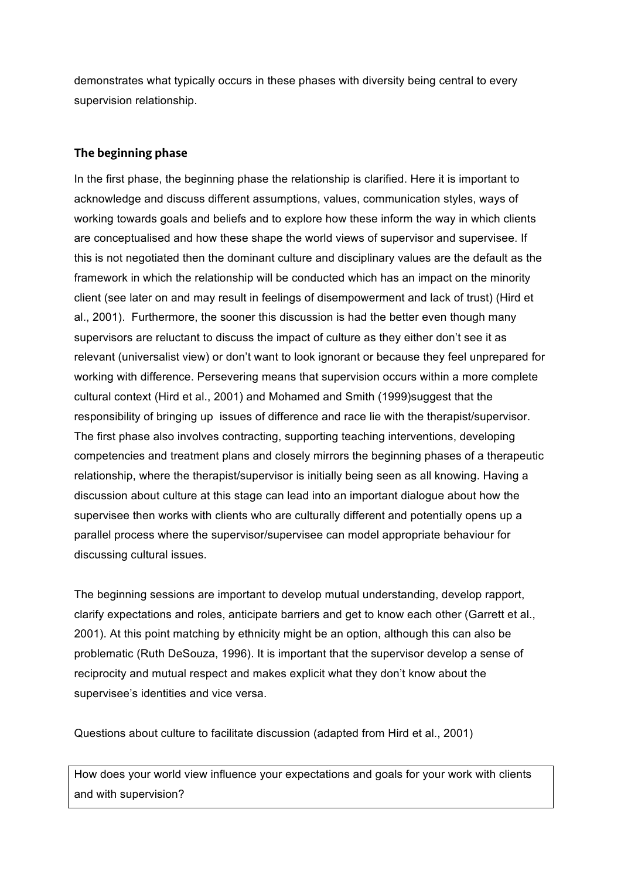demonstrates what typically occurs in these phases with diversity being central to every supervision relationship.

#### The beginning phase

In the first phase, the beginning phase the relationship is clarified. Here it is important to acknowledge and discuss different assumptions, values, communication styles, ways of working towards goals and beliefs and to explore how these inform the way in which clients are conceptualised and how these shape the world views of supervisor and supervisee. If this is not negotiated then the dominant culture and disciplinary values are the default as the framework in which the relationship will be conducted which has an impact on the minority client (see later on and may result in feelings of disempowerment and lack of trust) (Hird et al., 2001). Furthermore, the sooner this discussion is had the better even though many supervisors are reluctant to discuss the impact of culture as they either don't see it as relevant (universalist view) or don't want to look ignorant or because they feel unprepared for working with difference. Persevering means that supervision occurs within a more complete cultural context (Hird et al., 2001) and Mohamed and Smith (1999)suggest that the responsibility of bringing up issues of difference and race lie with the therapist/supervisor. The first phase also involves contracting, supporting teaching interventions, developing competencies and treatment plans and closely mirrors the beginning phases of a therapeutic relationship, where the therapist/supervisor is initially being seen as all knowing. Having a discussion about culture at this stage can lead into an important dialogue about how the supervisee then works with clients who are culturally different and potentially opens up a parallel process where the supervisor/supervisee can model appropriate behaviour for discussing cultural issues.

The beginning sessions are important to develop mutual understanding, develop rapport, clarify expectations and roles, anticipate barriers and get to know each other (Garrett et al., 2001). At this point matching by ethnicity might be an option, although this can also be problematic (Ruth DeSouza, 1996). It is important that the supervisor develop a sense of reciprocity and mutual respect and makes explicit what they don't know about the supervisee's identities and vice versa.

Questions about culture to facilitate discussion (adapted from Hird et al., 2001)

How does your world view influence your expectations and goals for your work with clients and with supervision?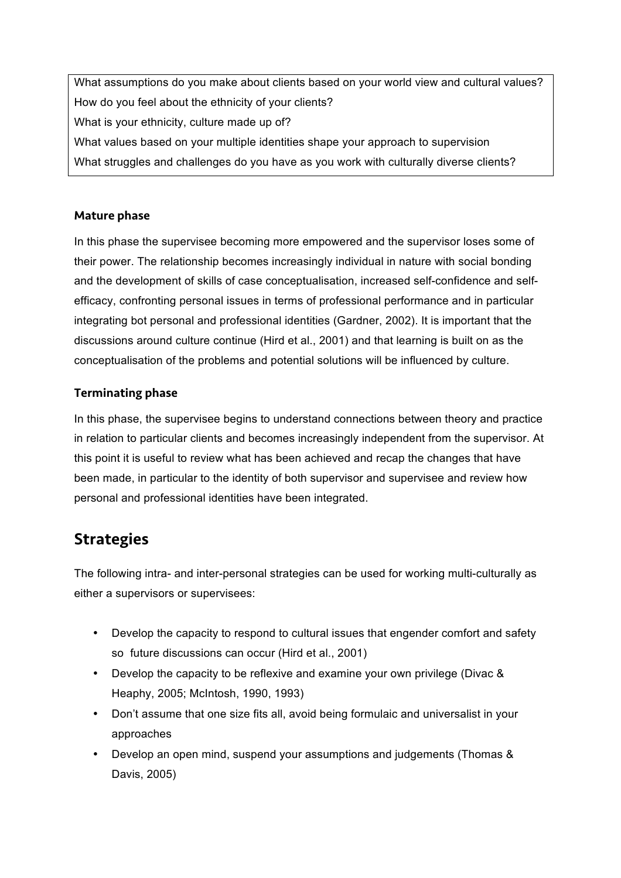What assumptions do you make about clients based on your world view and cultural values? How do you feel about the ethnicity of your clients? What is your ethnicity, culture made up of? What values based on your multiple identities shape your approach to supervision What struggles and challenges do you have as you work with culturally diverse clients?

#### Mature phase

In this phase the supervisee becoming more empowered and the supervisor loses some of their power. The relationship becomes increasingly individual in nature with social bonding and the development of skills of case conceptualisation, increased self-confidence and selfefficacy, confronting personal issues in terms of professional performance and in particular integrating bot personal and professional identities (Gardner, 2002). It is important that the discussions around culture continue (Hird et al., 2001) and that learning is built on as the conceptualisation of the problems and potential solutions will be influenced by culture.

#### Terminating phase

In this phase, the supervisee begins to understand connections between theory and practice in relation to particular clients and becomes increasingly independent from the supervisor. At this point it is useful to review what has been achieved and recap the changes that have been made, in particular to the identity of both supervisor and supervisee and review how personal and professional identities have been integrated.

## **Strategies**

The following intra- and inter-personal strategies can be used for working multi-culturally as either a supervisors or supervisees:

- Develop the capacity to respond to cultural issues that engender comfort and safety so future discussions can occur (Hird et al., 2001)
- Develop the capacity to be reflexive and examine your own privilege (Divac & Heaphy, 2005; McIntosh, 1990, 1993)
- Don't assume that one size fits all, avoid being formulaic and universalist in your approaches
- Develop an open mind, suspend your assumptions and judgements (Thomas & Davis, 2005)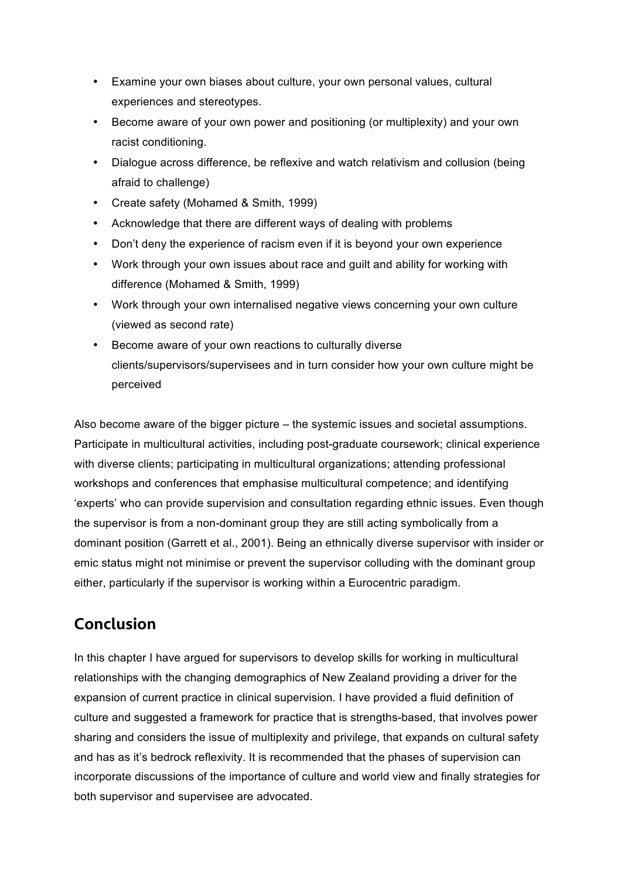- Examine your own biases about culture, your own personal values, cultural experiences and stereotypes.
- Become aware of your own power and positioning (or multiplexity) and your own racist conditioning.
- Dialogue across difference, be reflexive and watch relativism and collusion (being afraid to challenge)
- Create safety (Mohamed & Smith, 1999)
- Acknowledge that there are different ways of dealing with problems
- Don't deny the experience of racism even if it is beyond your own experience
- Work through your own issues about race and guilt and ability for working with difference (Mohamed & Smith, 1999)
- Work through your own internalised negative views concerning your own culture (viewed as second rate)
- Become aware of your own reactions to culturally diverse clients/supervisors/supervisees and in turn consider how your own culture might be perceived

Also become aware of the bigger picture – the systemic issues and societal assumptions. Participate in multicultural activities, including post-graduate coursework; clinical experience with diverse clients; participating in multicultural organizations; attending professional workshops and conferences that emphasise multicultural competence; and identifying 'experts' who can provide supervision and consultation regarding ethnic issues. Even though the supervisor is from a non-dominant group they are still acting symbolically from a dominant position (Garrett et al., 2001). Being an ethnically diverse supervisor with insider or emic status might not minimise or prevent the supervisor colluding with the dominant group either, particularly if the supervisor is working within a Eurocentric paradigm.

## Conclusion

In this chapter I have argued for supervisors to develop skills for working in multicultural relationships with the changing demographics of New Zealand providing a driver for the expansion of current practice in clinical supervision. I have provided a fluid definition of culture and suggested a framework for practice that is strengths-based, that involves power sharing and considers the issue of multiplexity and privilege, that expands on cultural safety and has as it's bedrock reflexivity. It is recommended that the phases of supervision can incorporate discussions of the importance of culture and world view and finally strategies for both supervisor and supervisee are advocated.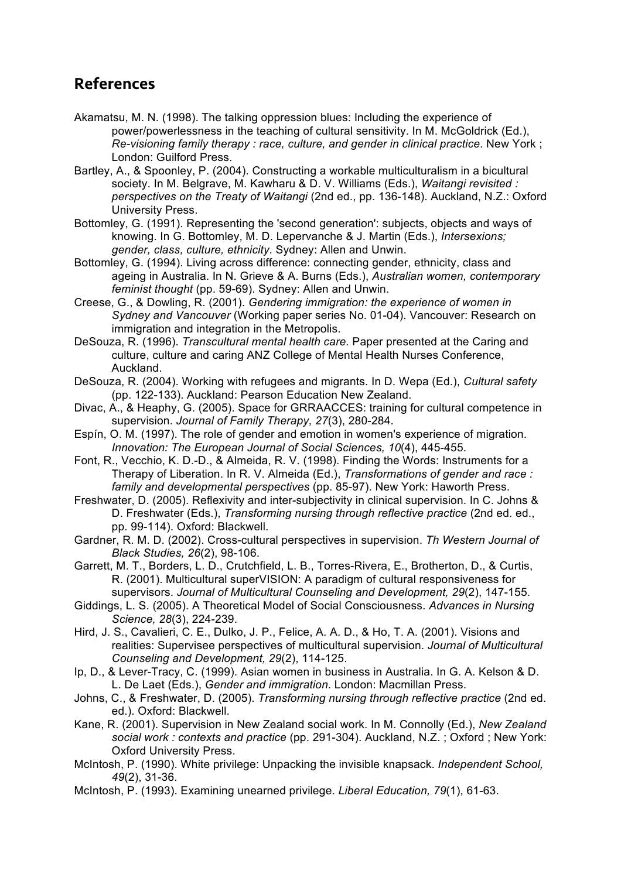## References

- Akamatsu, M. N. (1998). The talking oppression blues: Including the experience of power/powerlessness in the teaching of cultural sensitivity. In M. McGoldrick (Ed.), *Re-visioning family therapy : race, culture, and gender in clinical practice*. New York ; London: Guilford Press.
- Bartley, A., & Spoonley, P. (2004). Constructing a workable multiculturalism in a bicultural society. In M. Belgrave, M. Kawharu & D. V. Williams (Eds.), *Waitangi revisited : perspectives on the Treaty of Waitangi* (2nd ed., pp. 136-148). Auckland, N.Z.: Oxford University Press.
- Bottomley, G. (1991). Representing the 'second generation': subjects, objects and ways of knowing. In G. Bottomley, M. D. Lepervanche & J. Martin (Eds.), *Intersexions; gender, class, culture, ethnicity*. Sydney: Allen and Unwin.
- Bottomley, G. (1994). Living across difference: connecting gender, ethnicity, class and ageing in Australia. In N. Grieve & A. Burns (Eds.), *Australian women, contemporary feminist thought* (pp. 59-69). Sydney: Allen and Unwin.
- Creese, G., & Dowling, R. (2001). *Gendering immigration: the experience of women in Sydney and Vancouver* (Working paper series No. 01-04). Vancouver: Research on immigration and integration in the Metropolis.
- DeSouza, R. (1996). *Transcultural mental health care.* Paper presented at the Caring and culture, culture and caring ANZ College of Mental Health Nurses Conference, Auckland.
- DeSouza, R. (2004). Working with refugees and migrants. In D. Wepa (Ed.), *Cultural safety* (pp. 122-133). Auckland: Pearson Education New Zealand.
- Divac, A., & Heaphy, G. (2005). Space for GRRAACCES: training for cultural competence in supervision. *Journal of Family Therapy, 27*(3), 280-284.
- Espín, O. M. (1997). The role of gender and emotion in women's experience of migration. *Innovation: The European Journal of Social Sciences, 10*(4), 445-455.
- Font, R., Vecchio, K. D.-D., & Almeida, R. V. (1998). Finding the Words: Instruments for a Therapy of Liberation. In R. V. Almeida (Ed.), *Transformations of gender and race : family and developmental perspectives* (pp. 85-97). New York: Haworth Press.
- Freshwater, D. (2005). Reflexivity and inter-subjectivity in clinical supervision. In C. Johns & D. Freshwater (Eds.), *Transforming nursing through reflective practice* (2nd ed. ed., pp. 99-114). Oxford: Blackwell.
- Gardner, R. M. D. (2002). Cross-cultural perspectives in supervision. *Th Western Journal of Black Studies, 26*(2), 98-106.
- Garrett, M. T., Borders, L. D., Crutchfield, L. B., Torres-Rivera, E., Brotherton, D., & Curtis, R. (2001). Multicultural superVISION: A paradigm of cultural responsiveness for supervisors. *Journal of Multicultural Counseling and Development, 29*(2), 147-155.
- Giddings, L. S. (2005). A Theoretical Model of Social Consciousness. *Advances in Nursing Science, 28*(3), 224-239.
- Hird, J. S., Cavalieri, C. E., Dulko, J. P., Felice, A. A. D., & Ho, T. A. (2001). Visions and realities: Supervisee perspectives of multicultural supervision. *Journal of Multicultural Counseling and Development, 29*(2), 114-125.
- Ip, D., & Lever-Tracy, C. (1999). Asian women in business in Australia. In G. A. Kelson & D. L. De Laet (Eds.), *Gender and immigration*. London: Macmillan Press.
- Johns, C., & Freshwater, D. (2005). *Transforming nursing through reflective practice* (2nd ed. ed.). Oxford: Blackwell.
- Kane, R. (2001). Supervision in New Zealand social work. In M. Connolly (Ed.), *New Zealand social work : contexts and practice* (pp. 291-304). Auckland, N.Z. ; Oxford ; New York: Oxford University Press.
- McIntosh, P. (1990). White privilege: Unpacking the invisible knapsack. *Independent School, 49*(2), 31-36.
- McIntosh, P. (1993). Examining unearned privilege. *Liberal Education, 79*(1), 61-63.